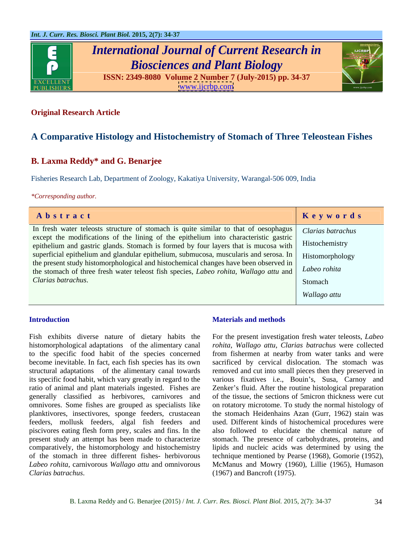

# *International Journal of Current Research in Biosciences and Plant Biology*





### **Original Research Article**

## **A Comparative Histology and Histochemistry of Stomach of Three Teleostean Fishes**

### **B. Laxma Reddy\* and G. Benarjee**

Fisheries Research Lab, Department of Zoology, Kakatiya University, Warangal-506 009, India

*\*Corresponding author.*

| Abstract                                                                                                                                                                                        | Keywords     |
|-------------------------------------------------------------------------------------------------------------------------------------------------------------------------------------------------|--------------|
| In fresh water teleosts structure of stomach is quite similar to that of oesophagus   Clarias batrachus<br>except the modifications of the lining of the epithelium into characteristic gastric |              |
| epithelium and gastric glands. Stomach is formed by four layers that is mucosa with Histochemistry                                                                                              |              |
| superficial epithelium and glandular epithelium, submucosa, muscularis and serosa. In Histomorphology<br>the present study histomorphological and histochemical changes have been observed in   |              |
| the stomach of three fresh water teleost fish species, Labeo rohita, Wallago attu and Labeo rohita                                                                                              |              |
| Clarias batrachus.                                                                                                                                                                              | Stomach      |
|                                                                                                                                                                                                 | Wallago attu |

Fish exhibits diverse nature of dietary habits the For the present investigation fresh water teleosts, *Labeo*  histomorphological adaptations of the alimentary canal<br>to the specific food habit of the species concerned to the specific food habit of the species concerned from fishermen at nearby from water tanks and were become inevitable. In fact, each fish species has its own sacrificed by cervical dislocation. The stomach was structural adaptations of the alimentary canal towards removed and cut into small pieces then they preserved in its specific food habit, which vary greatly in regard to the various fixatives i.e., Bouin's, Susa, Carnoy and ratio of animal and plant materials ingested. Fishes are Zenker's fluid. After the routine histological preparation generally classified as herbivores, carnivores and of the tissue, the sections of 5micron thickness were cut omnivores. Some fishes are grouped as specialists like on rotatory microtome. To study the normal histology of planktivores, insectivores, sponge feeders, crustacean the stomach Heidenhains Azan (Gurr, 1962) stain was feeders, mollusk feeders, algal fish feeders and piscivores eating flesh form prey, scales and fins. In the present study an attempt has been made to characterize stomach. The presence of carbohydrates, proteins, and comparatively, the histomorphology and histochemistry lipids and nucleic acids was determined by using the of the stomach in three different fishes- herbivorous technique mentioned by Pearse (1968), Gomorie (1952), *Labeo rohita*, carnivorous *Wallago attu* and omnivorous McManus and Mowry (1960), Lillie (1965), Humason **Introduction**<br> **Materials and methods**<br> **Clarias batrachus**<br> **Clarias batrachus**<br> **Clarias batrachus**<br> **Clarias batrachus**<br> **Clarias batrachus**<br> **Clarias batrachus**<br> **Clarias batrachus**<br> **Clarias batrachus**<br> **Clarias batr** 

### **Introduction Introduction Introduction Integrals Integrals Integrals Integrals Integrals Integrals Integrals Integrals Integrals Integrals Integrals Integrals Integrals Integrals Integral**

*rohita*, *Wallago attu*, *Clarias batrachus* were collected used. Different kinds of histochemical procedures were also followed to elucidate the chemical nature of (1967) and Bancroft (1975).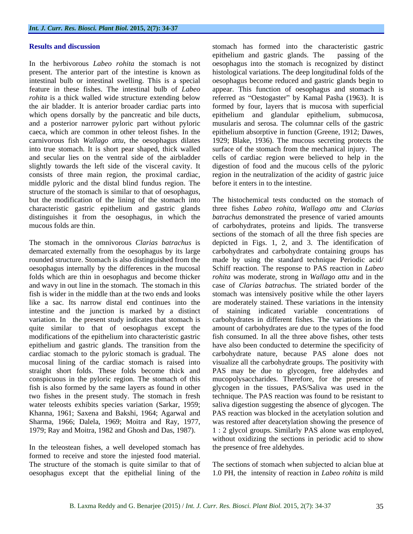middle pyloric and the distal blind fundus region. The structure of the stomach is similar to that of oesophagus, characteristic gastric epithelium and gastric glands

and wavy in out line in the stomach. The stomach in this intestine and the junction is marked by a distinct variation. In the present study indicates that stomach is Khanna, 1961; Saxena and Bakshi, 1964; Agarwal and

In the teleostean fishes, a well developed stomach has formed to receive and store the injested food material. The structure of the stomach is quite similar to that of The sections of stomach when subjected to alcian blue at oesophagus except that the epithelial lining of the

**Results and discussion** stomach has formed into the characteristic gastric In the herbivorous *Labeo rohita* the stomach is not oesophagus into the stomach is recognized by distinct present. The anterior part of the intestine is known as histological variations. The deep longitudinal folds of the intestinal bulb or intestinal swelling. This is a special oesophagus become reduced and gastric glands begin to feature in these fishes. The intestinal bulb of *Labeo*  appear. This function of oesophagus and stomach is *rohita* is a thick walled wide structure extending below referred as "Oestogaster" by Kamal Pasha (1963). It is the air bladder. It is anterior broader cardiac parts into formed by four, layers that is mucosa with superficial which opens dorsally by the pancreatic and bile ducts, epithelium and glandular epithelium, submucosa, and a posterior narrower pyloric part without pyloric musularis and serosa. The columnar cells of the gastric caeca, which are common in other teleost fishes. In the epithelium absorptive in function (Greene, 1912; Dawes, carnivorous fish *Wallago attu*, the oesophagus dilates 1929; Blake, 1936). The mucous secreting protects the into true stomach. It is short pear shaped, thick walled surface of the stomach from the mechanical injury. The and secular lies on the ventral side of the airbladder cells of cardiac region were believed to help in the slightly towards the left side of the visceral cavity. It digestion of food and the mucous cells of the pyloric consists of three main region, the proximal cardiac, region in the neutralization of the acidity of gastric juice epithelium and gastric glands. The passing of the before it enters in to the intestine.

but the modification of the lining of the stomach into The histochemical tests conducted on the stomach of distinguishes it from the oesophagus, in which the *batrachus* demonstrated the presence of varied amounts mucous folds are thin. of carbohydrates, proteins and lipids. The transverse The stomach in the omnivorous *Clarias batrachus* is depicted in Figs. 1, 2, and 3. The identification of demarcated externally from the oesophagus by its large carbohydrates and carbohydrate containing groups has rounded structure. Stomach is also distinguished from the made by using the standard technique Periodic acid/ oesophagus internally by the differences in the mucosal Schiff reaction. The response to PAS reaction in *Labeo*  folds which are thin in oesophagus and become thicker *rohita* was moderate, strong in *Wallago attu* and in the fish is wider in the middle than at the two ends and looks stomach was intensively positive while the other layers like a sac. Its narrow distal end continues into the are moderately stained. These variations in the intensity quite similar to that of oesophagus except the amount of carbohydrates are due to the types of the food modifications of the epithelium into characteristic gastric fish consumed. In all the three above fishes, other tests epithelium and gastric glands. The transition from the have also been conducted to determine the specificity of cardiac stomach to the pyloric stomach is gradual. The carbohydrate nature, because PAS alone does not mucosal lining of the cardiac stomach is raised into visualize all the carbohydrate groups. The positivity with straight short folds. These folds become thick and PAS may be due to glycogen, free aldehydes and conspicuous in the pyloric region. The stomach of this mucopolysaccharides. Therefore, for the presence of fish is also formed by the same layers as found in other glycogen in the tissues, PAS/Salivawas used in the two fishes in the present study. The stomach in fresh technique. The PAS reaction was found to be resistant to water teleosts exhibits species variation (Sarkar, 1959; saliva digestion suggesting the absence of glycogen. The Sharma, 1966; Dalela, 1969; Moitra and Ray, 1977, was restored after deacetylation showing the presence of 1979; Ray and Moitra, 1982 and Ghosh and Das, 1987). 1 : 2 glycol groups. Similarly PAS alone was employed, three fishes *Labeo rohita*, *Wallago attu* and *Clarias*  sections of the stomach of all the three fish species are case of *Clarias batrachus*. The striated border of the staining indicated variable concentrations of carbohydrates in different fishes. The variations in the PAS reaction was blocked in the acetylation solution and without oxidizing the sections in periodic acid to show the presence of free aldehydes.

1.0 PH, the intensity of reaction in *Labeo rohita* is mild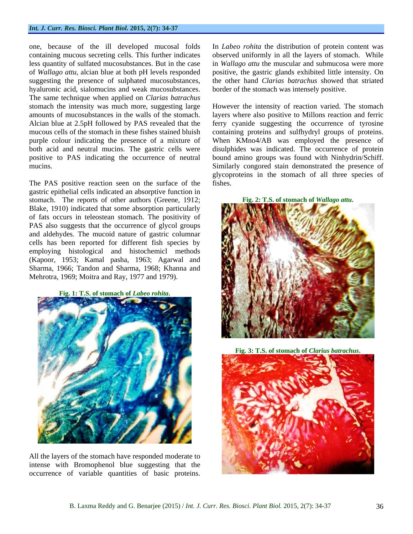### *Int. J. Curr. Res. Biosci. Plant Biol.* **2015, 2(7): 34-37**

one, because of the ill developed mucosal folds In *Labeo rohita* the distribution of protein content was containing mucous secreting cells. This further indicates observed uniformly in all the layers of stomach. While less quantity of sulfated mucosubstances. But in the case in *Wallago attu* the muscular and submucosa were more of *Wallago attu*, alcian blue at both pH levels responded positive, the gastric glands exhibited little intensity. On suggesting the presence of sulphated mucosubstances, hyaluronic acid, sialomucins and weak mucosubstances. The same technique when applied on *Clarias batrachus* stomach the intensity was much more, suggesting large

The PAS positive reaction seen on the surface of the fishes. gastric epithelial cells indicated an absorptive function in stomach. The reports of other authors (Greene, 1912; Blake, 1910) indicated that some absorption particularly of fats occurs in teleostean stomach. The positivity of PAS also suggests that the occurrence of glycol groups and aldehydes. The mucoid nature of gastric columnar cells has been reported for different fish species by employing histological and histochemicl methods (Kapoor, 1953; Kamal pasha, 1963; Agarwal and Sharma, 1966; Tandon and Sharma, 1968; Khanna and Mehrotra, 1969; Moitra and Ray, 1977 and 1979).

**Fig. 1: T.S. of stomach of** *Labeo rohita***.**



All the layers of the stomach have responded moderate to intense with Bromophenol blue suggesting that the occurrence of variable quantities of basic proteins.

the other hand *Clarias batrachus* showed that striated border of the stomach was intensely positive.

amounts of mucosubstances in the walls of the stomach. layers where also positive to Millons reaction and ferric Alcian blue at 2.5pH followed by PAS revealed that the ferry cyanide suggesting the occurrence of tyrosine mucous cells of the stomach in these fishes stained bluish containing proteins and sulfhydryl groups of proteins. purple colour indicating the presence of a mixture of When KMno4/AB was employed the presence of both acid and neutral mucins. The gastric cells were disulphides was indicated. The occurrence of protein positive to PAS indicating the occurrence of neutral bound amino groups was found with Ninhydrin/Schiff. mucins. Similarly congored stain demonstrated the presence of However the intensity of reaction varied. The stomach glycoproteins in the stomach of all three species of fishes.





**Fig. 3: T.S. of stomach of** *Clarius batrachus***.**